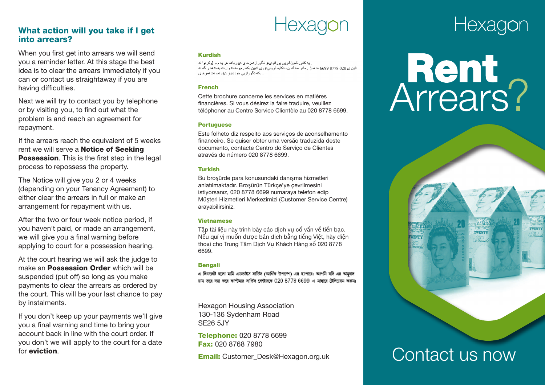### **What action will you take if I get into arrears?**

When you first get into arrears we will send you a reminder letter. At this stage the best idea is to clear the arrears immediately if you can or contact us straightaway if you are having difficulties.

Next we will try to contact you by telephone or by visiting you, to find out what the problem is and reach an agreement for repayment.

If the arrears reach the equivalent of 5 weeks rent we will serve a **Notice of Seeking Possession**. This is the first step in the legal process to repossess the property.

The Notice will give you 2 or 4 weeks (depending on your Tenancy Agreement) to either clear the arrears in full or make an arrangement for repayment with us.

After the two or four week notice period, if you haven't paid, or made an arrangement, we will give you a final warning before applying to court for a possession hearing.

At the court hearing we will ask the judge to make an **Possession Order** which will be suspended (put off) so long as you make payments to clear the arrears as ordered by the court. This will be your last chance to pay by instalments.

If you don't keep up your payments we'll give you a final warning and time to bring your account back in line with the court order. If you don't we will apply to the court for a date for **eviction**.

### **Kurdish**

. به کانی نامزژ گار ہے بور الو یہ تگور از ممز خای میر رباھد ھر یه م ہا [اوکر ھِ ا نه فۆن ي 200 8778 6699 εڌ ملڻ رمام سه له بن، تکايه کر ول توپي آدبين بکه رجومه ته و ∏ت به ته هد ر گه نه ِ بکه تگور از پی ماو اکتیار نۆبەسەتت مىز خاي

### **French**

Cette brochure concerne les services en matières financières. Si vous désirez la faire traduire, veuillez téléphoner au Centre Service Clientèle au 020 8778 6699.

### **Portuguese**

Este folheto diz respeito aos serviços de aconselhamento financeiro. Se quiser obter uma versão traduzida deste documento, contacte Centro do Serviço de Clientes através do número 020 8778 6699.

### **Turkish**

Bu broşürde para konusundaki danışma hizmetleri anlatılmaktadır. Broşürün Türkçe'ye çevrilmesini istiyorsanız, 020 8778 6699 numaraya telefon edip Müşteri Hizmetleri Merkezimizi (Customer Service Centre) arayabilirsiniz.

### **Vietnamese**

Tập tài liệu này trình bày các dịch vụ cố vấn về tiền bạc. Nếu quí vị muốn được bản dịch bằng tiếng Việt, hãy điện thoại cho Trung Tâm Dịch Vụ Khách Hàng số 020 8778 6699.

### **Bengali**

এ লিফলেট হলো মানি এডভাইস সর্ভিস (আর্থিক উপদেশ) এর ব্যাপারে। আপনি যদি এর অনুবাদ চাম তাৰ দয়া কৰে কাপ্টমাৰ সাৰ্ভিস সেণ্টাৱতে 020 8778 6699 এ মাছাৰে টেলিফোম কৰুম।

Hexagon Housing Association 130-136 Sydenham Road SE26 5JY

**Telephone:** 020 8778 6699 **Fax:** 020 8768 7980

**Email:** Customer\_Desk@Hexagon.org.uk

# Hexagon

# Arrears? **Rent**



TWENTY